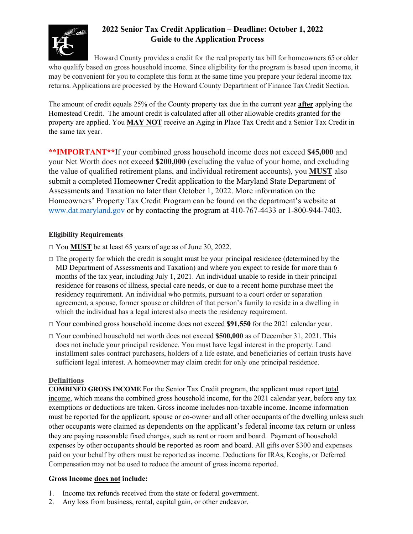

# **2022 Senior Tax Credit Application – Deadline: October 1, 2022 Guide to the Application Process**

Howard County provides a credit for the real property tax bill for homeowners 65 or older who qualify based on gross household income. Since eligibility for the program is based upon income, it may be convenient for you to complete this form at the same time you prepare your federal income tax returns. Applications are processed by the Howard County Department of Finance Tax Credit Section.

The amount of credit equals 25% of the County property tax due in the current year **after** applying the Homestead Credit. The amount credit is calculated after all other allowable credits granted for the property are applied. You **MAY NOT** receive an Aging in Place Tax Credit and a Senior Tax Credit in the same tax year.

**\*\*IMPORTANT\*\***If your combined gross household income does not exceed **\$45,000** and your Net Worth does not exceed **\$200,000** (excluding the value of your home, and excluding the value of qualified retirement plans, and individual retirement accounts), you **MUST** also submit a completed Homeowner Credit application to the Maryland State Department of Assessments and Taxation no later than October 1, 2022. More information on the Homeowners' Property Tax Credit Program can be found on the department's website at www.dat.maryland.gov or by contacting the program at 410-767-4433 or 1-800-944-7403.

# **Eligibility Requirements**

- □ You **MUST** be at least 65 years of age as of June 30, 2022.
- $\Box$  The property for which the credit is sought must be your principal residence (determined by the MD Department of Assessments and Taxation) and where you expect to reside for more than 6 months of the tax year, including July 1, 2021. An individual unable to reside in their principal residence for reasons of illness, special care needs, or due to a recent home purchase meet the residency requirement. An individual who permits, pursuant to a court order or separation agreement, a spouse, former spouse or children of that person's family to reside in a dwelling in which the individual has a legal interest also meets the residency requirement.
- □ Your combined gross household income does not exceed **\$91,550** for the 2021 calendar year.
- □ Your combined household net worth does not exceed **\$500,000** as of December 31, 2021. This does not include your principal residence. You must have legal interest in the property. Land installment sales contract purchasers, holders of a life estate, and beneficiaries of certain trusts have sufficient legal interest. A homeowner may claim credit for only one principal residence.

## **Definitions**

**COMBINED GROSS INCOME** For the Senior Tax Credit program, the applicant must report total income, which means the combined gross household income, for the 2021 calendar year, before any tax exemptions or deductions are taken. Gross income includes non-taxable income. Income information must be reported for the applicant, spouse or co-owner and all other occupants of the dwelling unless such other occupants were claimed as dependents on the applicant's federal income tax return or unless they are paying reasonable fixed charges, such as rent or room and board. Payment of household expenses by other occupants should be reported as room and board. All gifts over \$300 and expenses paid on your behalf by others must be reported as income. Deductions for IRAs, Keoghs, or Deferred Compensation may not be used to reduce the amount of gross income reported.

# **Gross Income does not include:**

- 1. Income tax refunds received from the state or federal government.
- 2. Any loss from business, rental, capital gain, or other endeavor.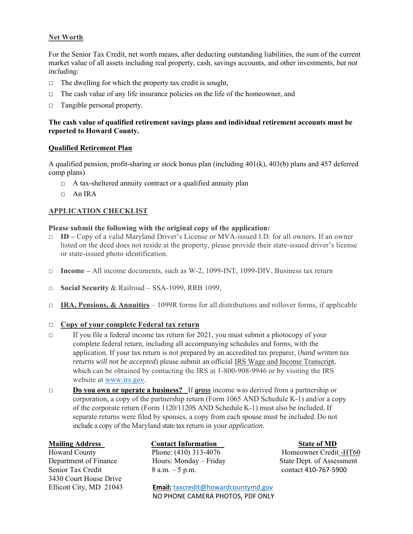## **Net Worth**

For the Senior Tax Credit, net worth means, after deducting outstanding liabilities, the sum of the current market value of all assets including real property, cash, savings accounts, and other investments, *but not including:* 

- $\Box$  The dwelling for which the property tax credit is sought,
- $\Box$  The cash value of any life insurance policies on the life of the homeowner, and
- □ Tangible personal property.

## **The cash value of qualified retirement savings plans and individual retirement accounts must be reported to Howard County.**

### **Qualified Retirement Plan**

A qualified pension, profit-sharing or stock bonus plan (including 401(k), 403(b) plans and 457 deferred comp plans)

- $\Box$  A tax-sheltered annuity contract or a qualified annuity plan
- $\Box$  An IRA

## **APPLICATION CHECKLIST**

### **Please submit the following with the original copy of the application:**

- □ **ID** Copy of a valid Maryland Driver's License or MVA-issued I.D. for all owners. If an owner listed on the deed does not reside at the property, please provide their state-issued driver's license or state-issued photo identification.
- □ **Income** All income documents, such as W-2, 1099-INT, 1099-DIV, Business tax return
- □ **Social Security** & Railroad SSA-1099, RRB 1099,
- □ **IRA, Pensions, & Annuities**  1099R forms for all distributions and rollover forms, if applicable

#### □ **Copy of your complete Federal tax return**

- $\Box$  If you file a federal income tax return for 2021, you must submit a photocopy of your complete federal return, including all accompanying schedules and forms, with the application. If your tax return is not prepared by an accredited tax preparer, (*hand written tax returns will not be accepted*) please submit an official IRS Wage and Income Transcript, which can be obtained by contacting the IRS at 1-800-908-9946 or by visiting the IRS website at www.irs.gov.
- □ **Do you own or operate a business?** If *gross* income was derived from a partnership or corporation, a copy of the partnership return (Form 1065 AND Schedule K-1) and/or a copy of the corporate return (Form 1120/1120S AND Schedule K-1) must also be included. If separate returns were filed by spouses, a copy from each spouse must be included. Do not include a copy of the Maryland state tax return in your *application.*

Senior Tax Credit 8 a.m. – 5 p.m. contact 410-767-5900 3430 Court House Drive

# **Mailing Address Contact Information State of MD**

Ellicott City, MD 21043 **Email:** taxcredit@howardcountymd.gov NO PHONE CAMERA PHOTOS, PDF ONLY

Howard County Phone: (410) 313-4076 Homeowner Credit -HT60 Department of Finance Hours: Monday – Friday State Dept. of Assessment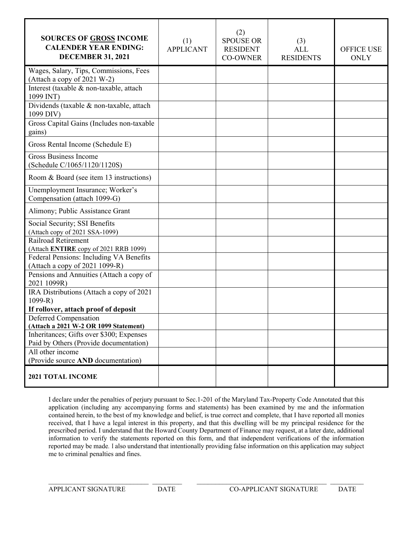| <b>SOURCES OF GROSS INCOME</b><br><b>CALENDER YEAR ENDING:</b><br><b>DECEMBER 31, 2021</b> | (1)<br><b>APPLICANT</b> | (2)<br><b>SPOUSE OR</b><br><b>RESIDENT</b><br><b>CO-OWNER</b> | (3)<br>ALL<br><b>RESIDENTS</b> | <b>OFFICE USE</b><br><b>ONLY</b> |
|--------------------------------------------------------------------------------------------|-------------------------|---------------------------------------------------------------|--------------------------------|----------------------------------|
| Wages, Salary, Tips, Commissions, Fees<br>(Attach a copy of 2021 W-2)                      |                         |                                                               |                                |                                  |
| Interest (taxable & non-taxable, attach<br>1099 INT)                                       |                         |                                                               |                                |                                  |
| Dividends (taxable & non-taxable, attach<br>1099 DIV)                                      |                         |                                                               |                                |                                  |
| Gross Capital Gains (Includes non-taxable<br>gains)                                        |                         |                                                               |                                |                                  |
| Gross Rental Income (Schedule E)                                                           |                         |                                                               |                                |                                  |
| <b>Gross Business Income</b><br>(Schedule C/1065/1120/1120S)                               |                         |                                                               |                                |                                  |
| Room & Board (see item 13 instructions)                                                    |                         |                                                               |                                |                                  |
| Unemployment Insurance; Worker's<br>Compensation (attach 1099-G)                           |                         |                                                               |                                |                                  |
| Alimony; Public Assistance Grant                                                           |                         |                                                               |                                |                                  |
| Social Security; SSI Benefits<br>(Attach copy of 2021 SSA-1099)                            |                         |                                                               |                                |                                  |
| Railroad Retirement<br>(Attach ENTIRE copy of 2021 RRB 1099)                               |                         |                                                               |                                |                                  |
| Federal Pensions: Including VA Benefits<br>(Attach a copy of 2021 1099-R)                  |                         |                                                               |                                |                                  |
| Pensions and Annuities (Attach a copy of<br>2021 1099R)                                    |                         |                                                               |                                |                                  |
| IRA Distributions (Attach a copy of 2021<br>$1099 - R$                                     |                         |                                                               |                                |                                  |
| If rollover, attach proof of deposit                                                       |                         |                                                               |                                |                                  |
| Deferred Compensation<br>(Attach a 2021 W-2 OR 1099 Statement)                             |                         |                                                               |                                |                                  |
| Inheritances; Gifts over \$300; Expenses                                                   |                         |                                                               |                                |                                  |
| Paid by Others (Provide documentation)                                                     |                         |                                                               |                                |                                  |
| All other income<br>(Provide source AND documentation)                                     |                         |                                                               |                                |                                  |
| 2021 TOTAL INCOME                                                                          |                         |                                                               |                                |                                  |

I declare under the penalties of perjury pursuant to Sec.1-201 of the Maryland Tax-Property Code Annotated that this application (including any accompanying forms and statements) has been examined by me and the information contained herein, to the best of my knowledge and belief, is true correct and complete, that I have reported all monies received, that I have a legal interest in this property, and that this dwelling will be my principal residence for the prescribed period. I understand that the Howard County Department of Finance may request, at a later date, additional information to verify the statements reported on this form, and that independent verifications of the information reported may be made. I also understand that intentionally providing false information on this application may subject me to criminal penalties and fines.

 $\mathcal{L}_\mathcal{L} = \{ \mathcal{L}_\mathcal{L} = \{ \mathcal{L}_\mathcal{L} = \{ \mathcal{L}_\mathcal{L} = \{ \mathcal{L}_\mathcal{L} = \{ \mathcal{L}_\mathcal{L} = \{ \mathcal{L}_\mathcal{L} = \{ \mathcal{L}_\mathcal{L} = \{ \mathcal{L}_\mathcal{L} = \{ \mathcal{L}_\mathcal{L} = \{ \mathcal{L}_\mathcal{L} = \{ \mathcal{L}_\mathcal{L} = \{ \mathcal{L}_\mathcal{L} = \{ \mathcal{L}_\mathcal{L} = \{ \mathcal{L}_\mathcal{$